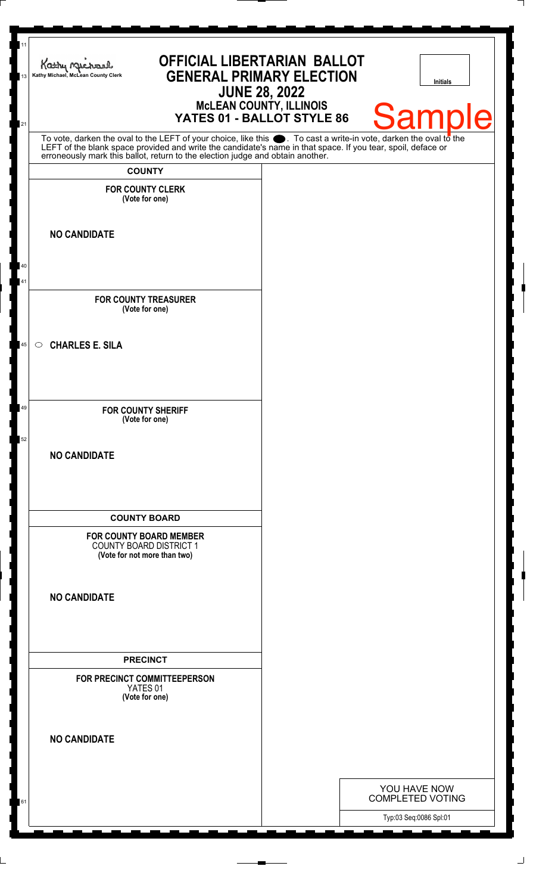| 11<br>13 | <b>OFFICIAL LIBERTARIAN BALLOT</b><br>Kathy Michael<br><b>GENERAL PRIMARY ELECTION</b><br>Kathy Michael, McLean County Clerk<br><b>Initials</b><br><b>JUNE 28, 2022</b>                                                                                                                                                                 |  |
|----------|-----------------------------------------------------------------------------------------------------------------------------------------------------------------------------------------------------------------------------------------------------------------------------------------------------------------------------------------|--|
| 21       | <b>MCLEAN COUNTY, ILLINOIS</b><br><b>Samp</b><br>Ie<br>YATES 01 - BALLOT STYLE 86                                                                                                                                                                                                                                                       |  |
|          | To vote, darken the oval to the LEFT of your choice, like this $\bullet$ . To cast a write-in vote, darken the oval to the LEFT of the blank space provided and write the candidate's name in that space. If you tear, spoil, deface<br>erroneously mark this ballot, return to the election judge and obtain another.<br><b>COUNTY</b> |  |
|          | <b>FOR COUNTY CLERK</b><br>(Vote for one)                                                                                                                                                                                                                                                                                               |  |
|          | <b>NO CANDIDATE</b>                                                                                                                                                                                                                                                                                                                     |  |
| 40<br>41 | <b>FOR COUNTY TREASURER</b><br>(Vote for one)                                                                                                                                                                                                                                                                                           |  |
| 45       | <b>CHARLES E. SILA</b><br>$\circ$                                                                                                                                                                                                                                                                                                       |  |
| 49<br>52 | <b>FOR COUNTY SHERIFF</b><br>(Vote for one)                                                                                                                                                                                                                                                                                             |  |
|          | <b>NO CANDIDATE</b>                                                                                                                                                                                                                                                                                                                     |  |
|          | <b>COUNTY BOARD</b>                                                                                                                                                                                                                                                                                                                     |  |
|          | <b>FOR COUNTY BOARD MEMBER</b><br><b>COUNTY BOARD DISTRICT 1</b><br>(Vote for not more than two)                                                                                                                                                                                                                                        |  |
|          | <b>NO CANDIDATE</b>                                                                                                                                                                                                                                                                                                                     |  |
|          | <b>PRECINCT</b>                                                                                                                                                                                                                                                                                                                         |  |
|          | FOR PRECINCT COMMITTEEPERSON<br>YATES 01<br>(Vote for one)                                                                                                                                                                                                                                                                              |  |
|          | <b>NO CANDIDATE</b>                                                                                                                                                                                                                                                                                                                     |  |
|          | YOU HAVE NOW                                                                                                                                                                                                                                                                                                                            |  |
| 61       | <b>COMPLETED VOTING</b><br>Typ:03 Seq:0086 Spl:01                                                                                                                                                                                                                                                                                       |  |

 $\perp$